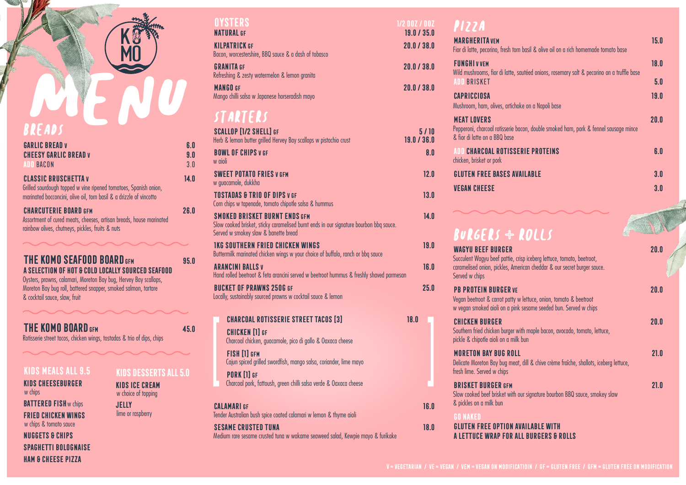# MO WO breads

| <b>GARLIC BREAD V</b><br><b>CHEESY GARLIC BREAD V</b><br>ADD BACON                                                                                                    | 6.O<br>9.0<br>3.0 |
|-----------------------------------------------------------------------------------------------------------------------------------------------------------------------|-------------------|
| <b>CLASSIC BRUSCHETTAV</b><br>Grilled sourdough topped w vine ripened tomatoes, Spanish onion,<br>marinated bocconcini, olive oil, torn basil & a drizzle of vincotto | 14.0              |
| <b>CHARCUTERIE BOARD GFM</b><br>Assortment of cured meats, cheeses, artisan breads, house marinated<br>rainbow olives, chumevs, pickles, fruits & nuts                | 26.0              |

**THE KOMO SEAFOOD BOARD GFM** 95.0 **a selection of hot & cold locally sourced seafood**

Oysters, prawns, calamari, Moreton Bay bug, Hervey Bay scallops, Moreton Bay bug roll, battered snapper, smoked salmon, tartare & cocktail sauce, slaw, fruit

## **THE KOMO BOARD GFM 45.0**

Rotisserie street tacos, chicken wings, tostadas & trio of dips, chips

#### **kids meals all 9.5**

**Kids Cheeseburger**  w chips **BATTERED FISH** w chips **fried chicken wings**  w chips & tomato sauce **Nuggets & chips spaghetti bolognaise ham & cheese pizza**

### **kids desserts all 5.0**

**kids ice cream**  w choice of topping **jelly** lime or raspberry

## **natural gf 39.0 / 35.0 / 35.0 / 35.0 / 35.0 / 35.0 / 35.0 / 35.0 / 35.0 / 35.0 / 35.0 / 35.0 / 35.0 / 35.0 / 35.0 / 35.0 / 35.0 / 35.0 / 35.0 / 35.0 / 35.0 / 35.0 / 35.0 / 35.0 / 35.0 / 35.0 / 35.0 / 35.0 / 35.0 / 35.0 /**

**kilpatrickgf 20.0 / 38.0** Bacon, worcestershire, BBQ sauce & a dash of tobasco

**granita**gf **30.0** / 38.00 **38.00 / 38.00 / 38.00 / 38.00 / 38.00 / 38.00 / 38.00 / 38.00 / 38.00 / 38.00 / 38.00 / 38.00 / 38.00 / 38.00 / 38.00 / 38.00 / 38.00 / 38.00 / 38.00 / 38.00 / 38.00 / 38.00 / 38.00 / 38.00 / 38** Refreshing & zesty watermelon & lemon granita

**mango gf 20.0 / 38.0** Mango chilli salsa w Japanese horseradish mayo

## starters

| <b>SCALLOP [1/2 SHELL] GF</b><br>Herb & lemon butter grilled Hervey Bay scallops w pistachio crust                                                                     | 19.0 / 36.0 | 5/10 |
|------------------------------------------------------------------------------------------------------------------------------------------------------------------------|-------------|------|
| <b>BOWL OF CHIPS V GF</b><br>iloin w                                                                                                                                   |             | 8.0  |
| <b>SWEET POTATO FRIES V GFM</b><br>w guacamole, dukkha                                                                                                                 |             | 12.0 |
| <b>TOSTADAS &amp; TRIO OF DIPS V GF</b><br>Corn chips w tapenade, tomato chipotle salsa & hummus                                                                       |             | 13.0 |
| <b>SMOKED BRISKET BURNT ENDS GFM</b><br>Slow cooked brisket, sticky caramelised burnt ends in our signature bourbon bbg sauce.<br>Served w smokey slaw & banette bread |             | 14.0 |
| <b>IKG SOUTHERN FRIED CHICKEN WINGS</b><br>Buttermilk marinated chicken wings w your choice of buffalo, ranch or bbg sauce                                             |             | 19.0 |
| <b>ARANCINI BALLSV</b><br>Hand rolled beetroot & feta arancini served w beetroot hummus & freshly shaved parmesan                                                      |             | 16.0 |
| <b>BUCKET OF PRAWNS 250G GF</b><br>Locally, sustainably sourced prawns w cocktail sauce & lemon                                                                        |             | 25.0 |
| <b>CHARCOAL ROTISSERIE STREET TACOS [3]</b>                                                                                                                            | 18.0        |      |
| <b>CHICKEN [1] GF</b><br>Charcoal chicken, guacamole, pico di gallo & Oaxaca cheese                                                                                    |             |      |
| FISH [1] GFM<br>Cajun spiced grilled swordfish, mango salsa, coriander, lime mayo                                                                                      |             |      |
| <b>PORK [1] GF</b><br>Charcoal pork, fattoush, green chilli salsa verde & Oaxaca cheese                                                                                |             |      |
| CAI AMARI GF<br>Tender Australian bush spice coated calamari w lemon & thyme aioli                                                                                     |             | 16.0 |
| <b><i>SESAME CRUSTED TUNA</i></b><br>Medium rare sesame crusted tuna w wakame seaweed salad, Kewpie mayo & furikake                                                    |             | 18.0 |

## **oysters** 1/2 doz / doz<br> **overlight** 1/2 doz / doz<br> **overlight** 19 d/25 dozen<br> **overlight** 19 d/25 dozen<br> **overlight**

| <b>35.0</b>  | .                                                                                                                                                                                               |             |
|--------------|-------------------------------------------------------------------------------------------------------------------------------------------------------------------------------------------------|-------------|
| 38.0         | <b>MARGHERITA VEM</b><br>Fior di latte, pecorino, fresh torn basil & olive oil on a rich homemade tomato base                                                                                   | 15.0        |
| <b>38.0</b>  | <b>FUNGHIVVEM</b><br>Wild mushrooms, fior di latte, sautéed onions, rosemary salt & pecorino on a truffle base                                                                                  | 18.0        |
| <b>38.0</b>  | <b>ADD BRISKET</b><br>CAPRICCIOSA<br>Mushroom, ham, olives, artichoke on a Napoli base                                                                                                          | 5.0<br>19.0 |
| /10<br>36.O  | <b>MEAT LOVERS</b><br>Pepperoni, charcoal rotisserie bacon, double smoked ham, pork & fennel sausage mince<br>& fior di latte on a BBQ base                                                     | 20.0        |
| 8.0          | <b>ADD CHARCOAL ROTISSERIE PROTEINS</b><br>chicken, brisket or pork                                                                                                                             | 6.0         |
| 12.0         | <b>GLUTEN FREE BASES AVAILABLE</b>                                                                                                                                                              | 3.0         |
| 13.0         | <b>VEGAN CHEESE</b>                                                                                                                                                                             | 3.0         |
| 14.0         | <b>BURGERS + ROLLS</b>                                                                                                                                                                          |             |
| 19.0<br>16.0 | <b>WAGYIL REFF BURGER</b><br>Succulent Wagyu beef pattie, crisp iceberg lettuce, tomato, beetroot,<br>caramelised onion, pickles, American cheddar & our secret burger sauce.<br>Served w chips | 20.0        |
| 25.0         | <b>PB PROTEIN BURGER VE</b><br>Vegan beetroot & carrot patty w lettuce, onion, tomato & beetroot<br>w vegan smoked aioli on a pink sesame seeded bun. Served w chips                            | 20.0        |
|              | CHICKEN BURGER<br>Southern fried chicken burger with maple bacon, avocado, tomato, lettuce,<br>pickle & chipotle aioli on a milk bun                                                            | 20.0        |
|              | <b>MORETON BAY BUG ROLL</b><br>Delicate Moreton Bay bug meat, dill & chive crème fraîche, shallots, iceberg lettuce,<br>fresh lime. Served w chips                                              | 21.0        |
| 16.0         | <b>BRISKET BURGER GFM</b><br>Slow cooked beef brisket with our signature bourbon BBQ sauce, smokey slaw<br>& pickles on a milk bun                                                              | 21.0        |
|              | <b>GO NAKED</b>                                                                                                                                                                                 |             |
| 18.0         | GLUTEN FREE OPTION AVAILABLE WITH<br>A LETTUCE WRAP FOR ALL BURGERS & ROLLS                                                                                                                     |             |